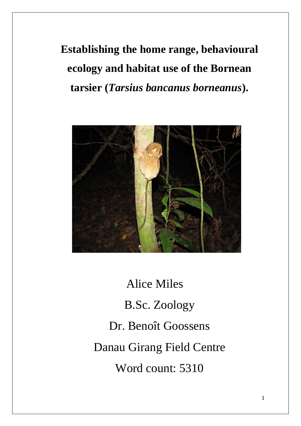**Establishing the home range, behavioural ecology and habitat use of the Bornean tarsier (***Tarsius bancanus borneanus***).**



 Alice Miles B.Sc. Zoology Dr. Benoît Goossens Danau Girang Field Centre Word count: 5310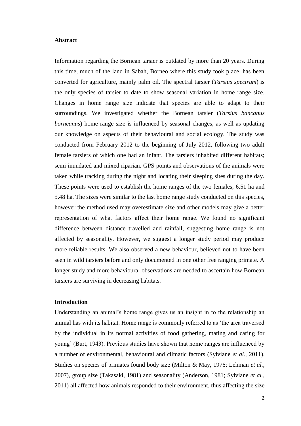### **Abstract**

Information regarding the Bornean tarsier is outdated by more than 20 years. During this time, much of the land in Sabah, Borneo where this study took place, has been converted for agriculture, mainly palm oil. The spectral tarsier (*Tarsius spectrum*) is the only species of tarsier to date to show seasonal variation in home range size. Changes in home range size indicate that species are able to adapt to their surroundings. We investigated whether the Bornean tarsier (*Tarsius bancanus borneanus*) home range size is influenced by seasonal changes, as well as updating our knowledge on aspects of their behavioural and social ecology. The study was conducted from February 2012 to the beginning of July 2012, following two adult female tarsiers of which one had an infant. The tarsiers inhabited different habitats; semi inundated and mixed riparian. GPS points and observations of the animals were taken while tracking during the night and locating their sleeping sites during the day. These points were used to establish the home ranges of the two females, 6.51 ha and 5.48 ha. The sizes were similar to the last home range study conducted on this species, however the method used may overestimate size and other models may give a better representation of what factors affect their home range. We found no significant difference between distance travelled and rainfall, suggesting home range is not affected by seasonality. However, we suggest a longer study period may produce more reliable results. We also observed a new behaviour, believed not to have been seen in wild tarsiers before and only documented in one other free ranging primate. A longer study and more behavioural observations are needed to ascertain how Bornean tarsiers are surviving in decreasing habitats.

# **Introduction**

Understanding an animal's home range gives us an insight in to the relationship an animal has with its habitat. Home range is commonly referred to as 'the area traversed by the individual in its normal activities of food gathering, mating and caring for young' (Burt, 1943). Previous studies have shown that home ranges are influenced by a number of environmental, behavioural and climatic factors (Sylviane *et al.,* 2011). Studies on species of primates found body size (Milton & May, 1976; Lehman *et al.,*  2007), group size (Takasaki, 1981) and seasonality (Anderson, 1981; Sylviane *et al.,* 2011) all affected how animals responded to their environment, thus affecting the size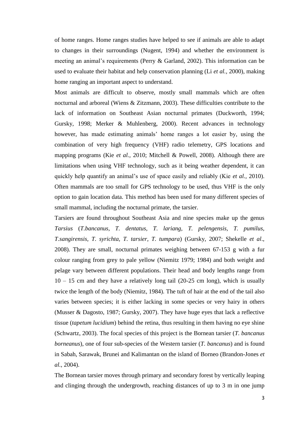of home ranges. Home ranges studies have helped to see if animals are able to adapt to changes in their surroundings (Nugent, 1994) and whether the environment is meeting an animal's requirements (Perry & Garland, 2002). This information can be used to evaluate their habitat and help conservation planning (Li *et al.,* 2000), making home ranging an important aspect to understand.

Most animals are difficult to observe, mostly small mammals which are often nocturnal and arboreal (Wiens & Zitzmann, 2003). These difficulties contribute to the lack of information on Southeast Asian nocturnal primates (Duckworth, 1994; Gursky, 1998; Merker & Muhlenberg, 2000). Recent advances in technology however, has made estimating animals' home ranges a lot easier by, using the combination of very high frequency (VHF) radio telemetry, GPS locations and mapping programs (Kie *et al.,* 2010; Mitchell & Powell, 2008). Although there are limitations when using VHF technology, such as it being weather dependent, it can quickly help quantify an animal's use of space easily and reliably (Kie *et al.,* 2010). Often mammals are too small for GPS technology to be used, thus VHF is the only option to gain location data. This method has been used for many different species of small mammal, including the nocturnal primate, the tarsier.

Tarsiers are found throughout Southeast Asia and nine species make up the genus *Tarsius* (*T.bancanus, T. dentatus, T. lariang, T. pelengensis, T. pumilus, T.sangirensis, T. syrichta, T. tarsier, T. tumpara*) (Gursky, 2007; Shekelle *et al*., 2008). They are small, nocturnal primates weighing between 67-153 g with a fur colour ranging from grey to pale yellow (Niemitz 1979; 1984) and both weight and pelage vary between different populations. Their head and body lengths range from 10 – 15 cm and they have a relatively long tail (20-25 cm long), which is usually twice the length of the body (Niemitz, 1984). The tuft of hair at the end of the tail also varies between species; it is either lacking in some species or very hairy in others (Musser & Dagosto, 1987; Gursky, 2007). They have huge eyes that lack a reflective tissue (*tapetum lucidium*) behind the retina, thus resulting in them having no eye shine (Schwartz, 2003). The focal species of this project is the Bornean tarsier (*T. bancanus borneanus*), one of four sub-species of the Western tarsier (*T. bancanus*) and is found in Sabah, Sarawak, Brunei and Kalimantan on the island of Borneo (Brandon-Jones *et al.,* 2004).

The Bornean tarsier moves through primary and secondary forest by vertically leaping and clinging through the undergrowth, reaching distances of up to 3 m in one jump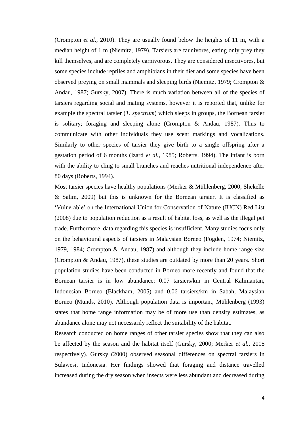(Crompton *et al*., 2010). They are usually found below the heights of 11 m, with a median height of 1 m (Niemitz, 1979). Tarsiers are faunivores, eating only prey they kill themselves, and are completely carnivorous. They are considered insectivores, but some species include reptiles and amphibians in their diet and some species have been observed preying on small mammals and sleeping birds (Niemitz, 1979; Crompton & Andau, 1987; Gursky, 2007). There is much variation between all of the species of tarsiers regarding social and mating systems, however it is reported that, unlike for example the spectral tarsier (*T. spectrum*) which sleeps in groups, the Bornean tarsier is solitary; foraging and sleeping alone (Crompton & Andau, 1987). Thus to communicate with other individuals they use scent markings and vocalizations. Similarly to other species of tarsier they give birth to a single offspring after a gestation period of 6 months (Izard *et al.,* 1985; Roberts, 1994). The infant is born with the ability to cling to small branches and reaches nutritional independence after 80 days (Roberts, 1994).

Most tarsier species have healthy populations (Merker & Mühlenberg, 2000; Shekelle & Salim, 2009) but this is unknown for the Bornean tarsier. It is classified as 'Vulnerable' on the International Union for Conservation of Nature (IUCN) Red List (2008) due to population reduction as a result of habitat loss, as well as the illegal pet trade. Furthermore, data regarding this species is insufficient. Many studies focus only on the behavioural aspects of tarsiers in Malaysian Borneo (Fogden, 1974; Niemitz, 1979, 1984; Crompton & Andau, 1987) and although they include home range size (Crompton & Andau, 1987), these studies are outdated by more than 20 years. Short population studies have been conducted in Borneo more recently and found that the Bornean tarsier is in low abundance: 0.07 tarsiers/km in Central Kalimantan, Indonesian Borneo (Blackham, 2005) and 0.06 tarsiers/km in Sabah, Malaysian Borneo (Munds, 2010). Although population data is important, Mühlenberg (1993) states that home range information may be of more use than density estimates, as abundance alone may not necessarily reflect the suitability of the habitat.

Research conducted on home ranges of other tarsier species show that they can also be affected by the season and the habitat itself (Gursky, 2000; Merker *et al.,* 2005 respectively). Gursky (2000) observed seasonal differences on spectral tarsiers in Sulawesi, Indonesia. Her findings showed that foraging and distance travelled increased during the dry season when insects were less abundant and decreased during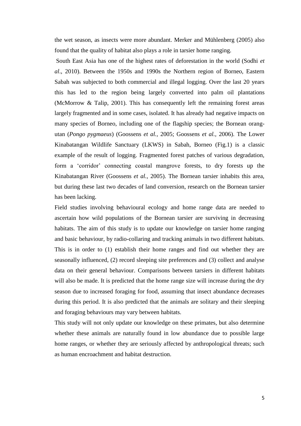the wet season, as insects were more abundant. Merker and Mühlenberg (2005) also found that the quality of habitat also plays a role in tarsier home ranging.

South East Asia has one of the highest rates of deforestation in the world (Sodhi *et al*., 2010). Between the 1950s and 1990s the Northern region of Borneo, Eastern Sabah was subjected to both commercial and illegal logging. Over the last 20 years this has led to the region being largely converted into palm oil plantations (McMorrow & Talip, 2001). This has consequently left the remaining forest areas largely fragmented and in some cases, isolated. It has already had negative impacts on many species of Borneo, including one of the flagship species; the Bornean orangutan (*Pongo pygmaeus*) (Goossens *et al.,* 2005; Goossens *et al.,* 2006). The Lower Kinabatangan Wildlife Sanctuary (LKWS) in Sabah, Borneo (Fig.1) is a classic example of the result of logging. Fragmented forest patches of various degradation, form a 'corridor' connecting coastal mangrove forests, to dry forests up the Kinabatangan River (Goossens *et al.,* 2005). The Bornean tarsier inhabits this area, but during these last two decades of land conversion, research on the Bornean tarsier has been lacking.

Field studies involving behavioural ecology and home range data are needed to ascertain how wild populations of the Bornean tarsier are surviving in decreasing habitats. The aim of this study is to update our knowledge on tarsier home ranging and basic behaviour, by radio-collaring and tracking animals in two different habitats. This is in order to (1) establish their home ranges and find out whether they are seasonally influenced, (2) record sleeping site preferences and (3) collect and analyse data on their general behaviour. Comparisons between tarsiers in different habitats will also be made. It is predicted that the home range size will increase during the dry season due to increased foraging for food, assuming that insect abundance decreases during this period. It is also predicted that the animals are solitary and their sleeping and foraging behaviours may vary between habitats.

This study will not only update our knowledge on these primates, but also determine whether these animals are naturally found in low abundance due to possible large home ranges, or whether they are seriously affected by anthropological threats; such as human encroachment and habitat destruction.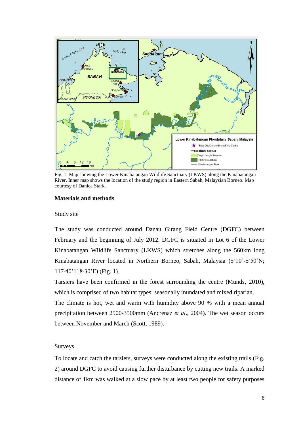

Fig. 1: Map showing the Lower Kinabatangan Wildlife Sanctuary (LKWS) along the Kinabatangan River. Inner map shows the location of the study region in Eastern Sabah, Malaysian Borneo. Map courtesy of Danica Stark.

## **Materials and methods**

### Study site

The study was conducted around Danau Girang Field Centre (DGFC) between February and the beginning of July 2012. DGFC is situated in Lot 6 of the Lower Kinabatangan Wildlife Sanctuary (LKWS) which stretches along the 560km long Kinabatangan River located in Northern Borneo, Sabah, Malaysia (5<sup>o</sup>10'-5<sup>o</sup>50'N; 117ᵒ40'118ᵒ30'E) (Fig. 1).

Tarsiers have been confirmed in the forest surrounding the centre (Munds, 2010), which is comprised of two habitat types; seasonally inundated and mixed riparian.

The climate is hot, wet and warm with humidity above 90 % with a mean annual precipitation between 2500-3500mm (Ancrenaz *et al*., 2004). The wet season occurs between November and March (Scott, 1989).

# Surveys

To locate and catch the tarsiers, surveys were conducted along the existing trails (Fig. 2) around DGFC to avoid causing further disturbance by cutting new trails. A marked distance of 1km was walked at a slow pace by at least two people for safety purposes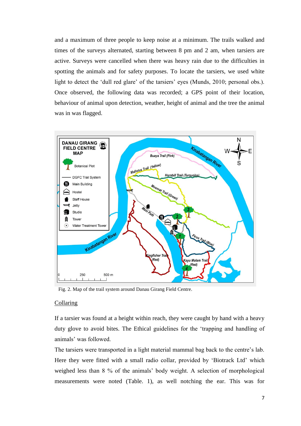and a maximum of three people to keep noise at a minimum. The trails walked and times of the surveys alternated, starting between 8 pm and 2 am, when tarsiers are active. Surveys were cancelled when there was heavy rain due to the difficulties in spotting the animals and for safety purposes. To locate the tarsiers, we used white light to detect the 'dull red glare' of the tarsiers' eyes (Munds, 2010; personal obs.). Once observed, the following data was recorded; a GPS point of their location, behaviour of animal upon detection, weather, height of animal and the tree the animal was in was flagged.



Fig. 2. Map of the trail system around Danau Girang Field Centre.

## Collaring

If a tarsier was found at a height within reach, they were caught by hand with a heavy duty glove to avoid bites. The Ethical guidelines for the 'trapping and handling of animals' was followed.

The tarsiers were transported in a light material mammal bag back to the centre's lab. Here they were fitted with a small radio collar, provided by 'Biotrack Ltd' which weighed less than 8 % of the animals' body weight. A selection of morphological measurements were noted (Table. 1), as well notching the ear. This was for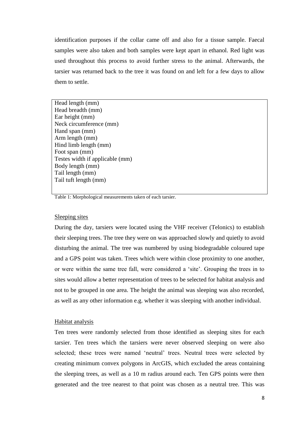identification purposes if the collar came off and also for a tissue sample. Faecal samples were also taken and both samples were kept apart in ethanol. Red light was used throughout this process to avoid further stress to the animal. Afterwards, the tarsier was returned back to the tree it was found on and left for a few days to allow them to settle.

Head length (mm) Head breadth (mm) Ear height (mm) Neck circumference (mm) Hand span (mm) Arm length (mm) Hind limb length (mm) Foot span (mm) Testes width if applicable (mm) Body length (mm) Tail length (mm) Tail tuft length (mm)

Table 1: Morphological measurements taken of each tarsier.

### Sleeping sites

During the day, tarsiers were located using the VHF receiver (Telonics) to establish their sleeping trees. The tree they were on was approached slowly and quietly to avoid disturbing the animal. The tree was numbered by using biodegradable coloured tape and a GPS point was taken. Trees which were within close proximity to one another, or were within the same tree fall, were considered a 'site'. Grouping the trees in to sites would allow a better representation of trees to be selected for habitat analysis and not to be grouped in one area. The height the animal was sleeping was also recorded, as well as any other information e.g. whether it was sleeping with another individual.

### Habitat analysis

Ten trees were randomly selected from those identified as sleeping sites for each tarsier. Ten trees which the tarsiers were never observed sleeping on were also selected; these trees were named 'neutral' trees. Neutral trees were selected by creating minimum convex polygons in ArcGIS, which excluded the areas containing the sleeping trees, as well as a 10 m radius around each. Ten GPS points were then generated and the tree nearest to that point was chosen as a neutral tree. This was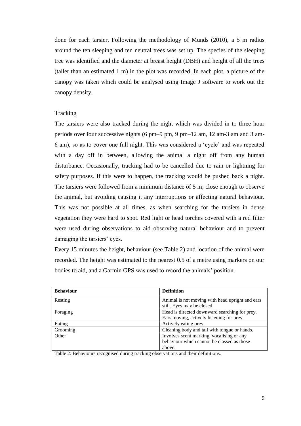done for each tarsier. Following the methodology of Munds (2010), a 5 m radius around the ten sleeping and ten neutral trees was set up. The species of the sleeping tree was identified and the diameter at breast height (DBH) and height of all the trees (taller than an estimated 1 m) in the plot was recorded. In each plot, a picture of the canopy was taken which could be analysed using Image J software to work out the canopy density.

## **Tracking**

The tarsiers were also tracked during the night which was divided in to three hour periods over four successive nights (6 pm–9 pm, 9 pm–12 am, 12 am-3 am and 3 am-6 am), so as to cover one full night. This was considered a 'cycle' and was repeated with a day off in between, allowing the animal a night off from any human disturbance. Occasionally, tracking had to be cancelled due to rain or lightning for safety purposes. If this were to happen, the tracking would be pushed back a night. The tarsiers were followed from a minimum distance of 5 m; close enough to observe the animal, but avoiding causing it any interruptions or affecting natural behaviour. This was not possible at all times, as when searching for the tarsiers in dense vegetation they were hard to spot. Red light or head torches covered with a red filter were used during observations to aid observing natural behaviour and to prevent damaging the tarsiers' eyes.

Every 15 minutes the height, behaviour (see Table 2) and location of the animal were recorded. The height was estimated to the nearest 0.5 of a metre using markers on our bodies to aid, and a Garmin GPS was used to record the animals' position.

| <b>Behaviour</b> | <b>Definition</b>                               |
|------------------|-------------------------------------------------|
| Resting          | Animal is not moving with head upright and ears |
|                  | still. Eyes may be closed.                      |
| Foraging         | Head is directed downward searching for prey.   |
|                  | Ears moving, actively listening for prey.       |
| Eating           | Actively eating prey.                           |
| Grooming         | Cleaning body and tail with tongue or hands.    |
| Other            | Involves scent marking, vocalising or any       |
|                  | behaviour which cannot be classed as those      |
|                  | above.                                          |

Table 2: Behaviours recognised during tracking observations and their definitions.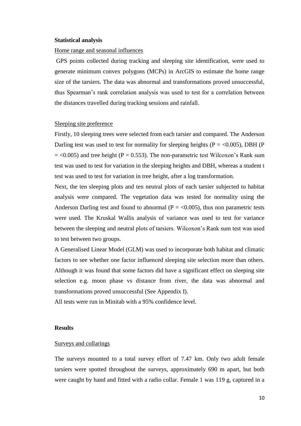#### **Statistical analysis**

## Home range and seasonal influences

GPS points collected during tracking and sleeping site identification, were used to generate minimum convex polygons (MCPs) in ArcGIS to estimate the home range size of the tarsiers. The data was abnormal and transformations proved unsuccessful, thus Spearman's rank correlation analysis was used to test for a correlation between the distances travelled during tracking sessions and rainfall.

## Sleeping site preference

Firstly, 10 sleeping trees were selected from each tarsier and compared. The Anderson Darling test was used to test for normality for sleeping heights ( $P = < 0.005$ ), DBH (P  $=$  <0.005) and tree height (P = 0.553). The non-parametric test Wilcoxon's Rank sum test was used to test for variation in the sleeping heights and DBH, whereas a student t test was used to test for variation in tree height, after a log transformation.

Next, the ten sleeping plots and ten neutral plots of each tarsier subjected to habitat analysis were compared. The vegetation data was tested for normality using the Anderson Darling test and found to abnormal ( $P = <0.005$ ), thus non parametric tests were used. The Kruskal Wallis analysis of variance was used to test for variance between the sleeping and neutral plots of tarsiers. Wilcoxon's Rank sum test was used to test between two groups.

A Generalised Linear Model (GLM) was used to incorporate both habitat and climatic factors to see whether one factor influenced sleeping site selection more than others. Although it was found that some factors did have a significant effect on sleeping site selection e.g. moon phase vs distance from river, the data was abnormal and transformations proved unsuccessful (See Appendix I).

All tests were run in Minitab with a 95% confidence level.

#### **Results**

#### Surveys and collarings

The surveys mounted to a total survey effort of 7.47 km. Only two adult female tarsiers were spotted throughout the surveys, approximately 690 m apart, but both were caught by hand and fitted with a radio collar. Female 1 was 119 g, captured in a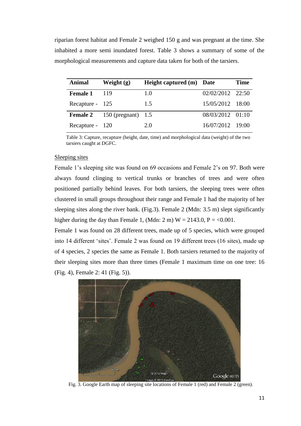riparian forest habitat and Female 2 weighed 150 g and was pregnant at the time. She inhabited a more semi inundated forest. Table 3 shows a summary of some of the morphological measurements and capture data taken for both of the tarsiers.

| Animal          | Weight $(g)$                       | Height captured (m) Date |                    | <b>Time</b> |
|-----------------|------------------------------------|--------------------------|--------------------|-------------|
| <b>Female 1</b> | -119                               | 1.0                      | $02/02/2012$ 22:50 |             |
| Recapture - 125 |                                    | 1.5                      | 15/05/2012 18:00   |             |
|                 | <b>Female 2</b> 150 (pregnant) 1.5 |                          | 08/03/2012 01:10   |             |
| Recapture - 120 |                                    | 2.0                      | 16/07/2012 19:00   |             |

Table 3: Capture, recapture (height, date, time) and morphological data (weight) of the two tarsiers caught at DGFC.

## Sleeping sites

Female 1's sleeping site was found on 69 occasions and Female 2's on 97. Both were always found clinging to vertical trunks or branches of trees and were often positioned partially behind leaves. For both tarsiers, the sleeping trees were often clustered in small groups throughout their range and Female 1 had the majority of her sleeping sites along the river bank. (Fig.3). Female 2 (Mdn: 3.5 m) slept significantly higher during the day than Female 1, (Mdn: 2 m)  $W = 2143.0$ ,  $P = <0.001$ .

Female 1 was found on 28 different trees, made up of 5 species, which were grouped into 14 different 'sites'. Female 2 was found on 19 different trees (16 sites), made up of 4 species, 2 species the same as Female 1. Both tarsiers returned to the majority of their sleeping sites more than three times (Female 1 maximum time on one tree: 16 (Fig. 4), Female 2: 41 (Fig. 5)).



Fig. 3. Google Earth map of sleeping site locations of Female 1 (red) and Female 2 (green).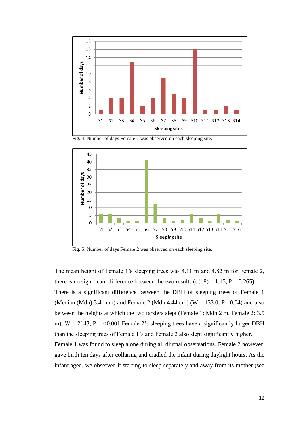

Fig. 4. Number of days Female 1 was observed on each sleeping site.



Fig. 5. Number of days Female 2 was observed on each sleeping site.

The mean height of Female 1's sleeping trees was 4.11 m and 4.82 m for Female 2, there is no significant difference between the two results (t  $(18) = 1.15$ , P = 0.265). There is a significant difference between the DBH of sleeping trees of Female 1 (Median (Mdn) 3.41 cm) and Female 2 (Mdn 4.44 cm) (W = 133.0, P = 0.04) and also between the heights at which the two tarsiers slept (Female 1: Mdn 2 m, Female 2: 3.5 m),  $W = 2143$ ,  $P = 0.001$ . Female 2's sleeping trees have a significantly larger DBH than the sleeping trees of Female 1's and Female 2 also slept significantly higher. Female 1 was found to sleep alone during all diurnal observations. Female 2 however, gave birth ten days after collaring and cradled the infant during daylight hours. As the infant aged, we observed it starting to sleep separately and away from its mother (see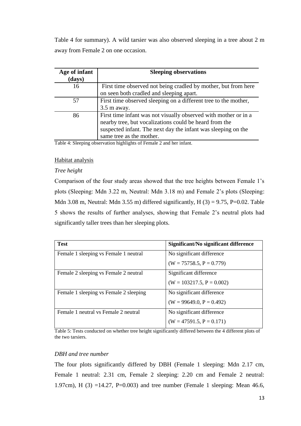Table 4 for summary). A wild tarsier was also observed sleeping in a tree about 2 m away from Female 2 on one occasion.

| Age of infant<br>(days) | <b>Sleeping observations</b>                                                                                                                                                                                           |
|-------------------------|------------------------------------------------------------------------------------------------------------------------------------------------------------------------------------------------------------------------|
| 16                      | First time observed not being cradled by mother, but from here<br>on seen both cradled and sleeping apart.                                                                                                             |
| 57                      | First time observed sleeping on a different tree to the mother,<br>$3.5$ m away.                                                                                                                                       |
| 86                      | First time infant was not visually observed with mother or in a<br>nearby tree, but vocalizations could be heard from the<br>suspected infant. The next day the infant was sleeping on the<br>same tree as the mother. |

Table 4: Sleeping observation highlights of Female 2 and her infant.

### Habitat analysis

### *Tree height*

Comparison of the four study areas showed that the tree heights between Female 1's plots (Sleeping: Mdn 3.22 m, Neutral: Mdn 3.18 m) and Female 2's plots (Sleeping: Mdn 3.08 m, Neutral: Mdn 3.55 m) differed significantly,  $H(3) = 9.75$ , P=0.02. Table 5 shows the results of further analyses, showing that Female 2's neutral plots had significantly taller trees than her sleeping plots.

| <b>Test</b>                            | Significant/No significant difference |
|----------------------------------------|---------------------------------------|
| Female 1 sleeping vs Female 1 neutral  | No significant difference             |
|                                        | $(W = 75758.5, P = 0.779)$            |
| Female 2 sleeping vs Female 2 neutral  | Significant difference                |
|                                        | $(W = 103217.5, P = 0.002)$           |
| Female 1 sleeping vs Female 2 sleeping | No significant difference             |
|                                        | $(W = 99649.0, P = 0.492)$            |
| Female 1 neutral vs Female 2 neutral   | No significant difference             |
|                                        | $(W = 47591.5, P = 0.171)$            |

Table 5: Tests conducted on whether tree height significantly differed between the 4 different plots of the two tarsiers.

### *DBH and tree number*

The four plots significantly differed by DBH (Female 1 sleeping: Mdn 2.17 cm, Female 1 neutral: 2.31 cm, Female 2 sleeping: 2.20 cm and Female 2 neutral: 1.97cm), H (3) =14.27, P=0.003) and tree number (Female 1 sleeping: Mean 46.6,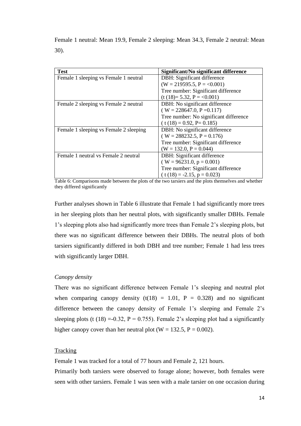| <b>Test</b>                            | Significant/No significant difference  |
|----------------------------------------|----------------------------------------|
| Female 1 sleeping vs Female 1 neutral  | DBH: Significant difference            |
|                                        | $(W = 219595.5, P = <0.001)$           |
|                                        | Tree number: Significant difference    |
|                                        | $(t (18)= 5.32, P = <0.001)$           |
| Female 2 sleeping vs Female 2 neutral  | DBH: No significant difference         |
|                                        | $(W = 228647.0, P = 0.117)$            |
|                                        | Tree number: No significant difference |
|                                        | $(t(18) = 0.92, P = 0.185)$            |
| Female 1 sleeping vs Female 2 sleeping | DBH: No significant difference         |
|                                        | $(W = 288232.5, P = 0.176)$            |
|                                        | Tree number: Significant difference    |
|                                        | $(W = 132.0, P = 0.044)$               |
| Female 1 neutral vs Female 2 neutral   | DBH: Significant difference            |
|                                        | $(W = 96231.0, p = 0.001)$             |
|                                        | Tree number: Significant difference    |
|                                        | $(t(18) = -2.15, p = 0.023)$           |

Female 1 neutral: Mean 19.9, Female 2 sleeping: Mean 34.3, Female 2 neutral: Mean 30).

Table 6: Comparisons made between the plots of the two tarsiers and the plots themselves and whether they differed significantly

Further analyses shown in Table 6 illustrate that Female 1 had significantly more trees in her sleeping plots than her neutral plots, with significantly smaller DBHs. Female 1's sleeping plots also had significantly more trees than Female 2's sleeping plots, but there was no significant difference between their DBHs. The neutral plots of both tarsiers significantly differed in both DBH and tree number; Female 1 had less trees with significantly larger DBH.

# *Canopy density*

There was no significant difference between Female 1's sleeping and neutral plot when comparing canopy density  $(t(18) = 1.01, P = 0.328)$  and no significant difference between the canopy density of Female 1's sleeping and Female 2's sleeping plots (t (18) =-0.32, P = 0.755). Female 2's sleeping plot had a significantly higher canopy cover than her neutral plot ( $W = 132.5$ ,  $P = 0.002$ ).

### **Tracking**

Female 1 was tracked for a total of 77 hours and Female 2, 121 hours.

Primarily both tarsiers were observed to forage alone; however, both females were seen with other tarsiers. Female 1 was seen with a male tarsier on one occasion during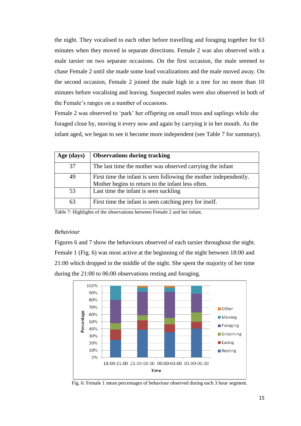the night. They vocalised to each other before travelling and foraging together for 63 minutes when they moved in separate directions. Female 2 was also observed with a male tarsier on two separate occasions. On the first occasion, the male seemed to chase Female 2 until she made some loud vocalizations and the male moved away. On the second occasion, Female 2 joined the male high in a tree for no more than 10 minutes before vocalising and leaving. Suspected males were also observed in both of the Female's ranges on a number of occasions.

Female 2 was observed to 'park' her offspring on small trees and saplings while she foraged close by, moving it every now and again by carrying it in her mouth. As the infant aged, we began to see it become more independent (see Table 7 for summary).

| Age (days) | <b>Observations during tracking</b>                               |
|------------|-------------------------------------------------------------------|
| 37         | The last time the mother was observed carrying the infant         |
| 49         | First time the infant is seen following the mother independently. |
|            | Mother begins to return to the infant less often.                 |
| 53         | Last time the infant is seen suckling                             |
| 63         | First time the infant is seen catching prey for itself.           |

Table 7: Highlights of the observations between Female 2 and her infant.

### *Behaviour*

Figures 6 and 7 show the behaviours observed of each tarsier throughout the night. Female 1 (Fig. 6) was most active at the beginning of the night between 18:00 and 21:00 which dropped in the middle of the night. She spent the majority of her time during the 21:00 to 06:00 observations resting and foraging.



Fig. 6: Female 1 mean percentages of behaviour observed during each 3 hour segment.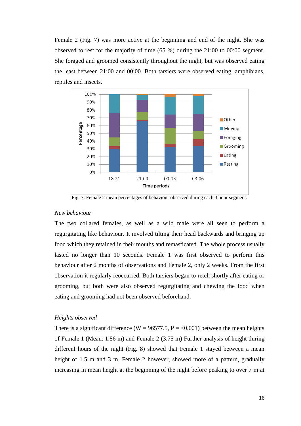Female 2 (Fig. 7) was more active at the beginning and end of the night. She was observed to rest for the majority of time (65 %) during the 21:00 to 00:00 segment. She foraged and groomed consistently throughout the night, but was observed eating the least between 21:00 and 00:00. Both tarsiers were observed eating, amphibians, reptiles and insects.



Fig. 7: Female 2 mean percentages of behaviour observed during each 3 hour segment.

## *New behaviour*

The two collared females, as well as a wild male were all seen to perform a regurgitating like behaviour. It involved tilting their head backwards and bringing up food which they retained in their mouths and remasticated. The whole process usually lasted no longer than 10 seconds. Female 1 was first observed to perform this behaviour after 2 months of observations and Female 2, only 2 weeks. From the first observation it regularly reoccurred. Both tarsiers began to retch shortly after eating or grooming, but both were also observed regurgitating and chewing the food when eating and grooming had not been observed beforehand.

## *Heights observed*

There is a significant difference (W = 96577.5, P = <0.001) between the mean heights of Female 1 (Mean: 1.86 m) and Female 2 (3.75 m) Further analysis of height during different hours of the night (Fig. 8) showed that Female 1 stayed between a mean height of 1.5 m and 3 m. Female 2 however, showed more of a pattern, gradually increasing in mean height at the beginning of the night before peaking to over 7 m at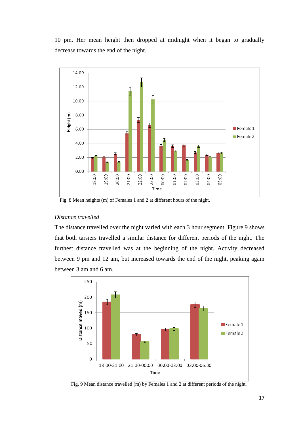10 pm. Her mean height then dropped at midnight when it began to gradually decrease towards the end of the night.



Fig. 8 Mean heights (m) of Females 1 and 2 at different hours of the night.

# *Distance travelled*

The distance travelled over the night varied with each 3 hour segment. Figure 9 shows that both tarsiers travelled a similar distance for different periods of the night. The furthest distance travelled was at the beginning of the night. Activity decreased between 9 pm and 12 am, but increased towards the end of the night, peaking again between 3 am and 6 am.



Fig. 9 Mean distance travelled (m) by Females 1 and 2 at different periods of the night.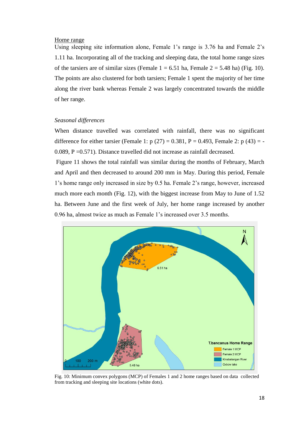#### Home range

Using sleeping site information alone, Female 1's range is 3.76 ha and Female 2's 1.11 ha. Incorporating all of the tracking and sleeping data, the total home range sizes of the tarsiers are of similar sizes (Female  $1 = 6.51$  ha, Female  $2 = 5.48$  ha) (Fig. 10). The points are also clustered for both tarsiers; Female 1 spent the majority of her time along the river bank whereas Female 2 was largely concentrated towards the middle of her range.

### *Seasonal differences*

When distance travelled was correlated with rainfall, there was no significant difference for either tarsier (Female 1:  $p(27) = 0.381$ ,  $P = 0.493$ , Female 2:  $p(43) = -$ 0.089, P =0.571). Distance travelled did not increase as rainfall decreased.

Figure 11 shows the total rainfall was similar during the months of February, March and April and then decreased to around 200 mm in May. During this period, Female 1's home range only increased in size by 0.5 ha. Female 2's range, however, increased much more each month (Fig. 12), with the biggest increase from May to June of 1.52 ha. Between June and the first week of July, her home range increased by another 0.96 ha, almost twice as much as Female 1's increased over 3.5 months.



Fig. 10: Minimum convex polygons (MCP) of Females 1 and 2 home ranges based on data collected from tracking and sleeping site locations (white dots).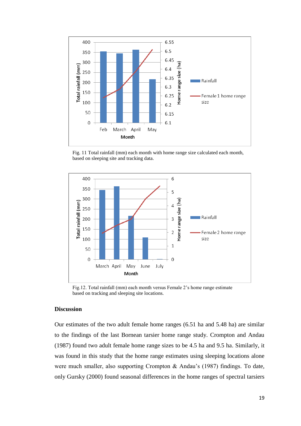

Fig. 11 Total rainfall (mm) each month with home range size calculated each month, based on sleeping site and tracking data.



Fig.12. Total rainfall (mm) each month versus Female 2's home range estimate based on tracking and sleeping site locations.

# **Discussion**

Our estimates of the two adult female home ranges (6.51 ha and 5.48 ha) are similar to the findings of the last Bornean tarsier home range study. Crompton and Andau (1987) found two adult female home range sizes to be 4.5 ha and 9.5 ha. Similarly, it was found in this study that the home range estimates using sleeping locations alone were much smaller, also supporting Crompton & Andau's (1987) findings. To date, only Gursky (2000) found seasonal differences in the home ranges of spectral tarsiers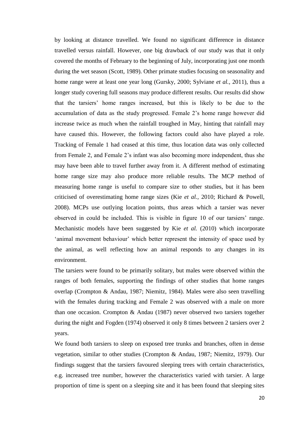by looking at distance travelled. We found no significant difference in distance travelled versus rainfall. However, one big drawback of our study was that it only covered the months of February to the beginning of July, incorporating just one month during the wet season (Scott, 1989). Other primate studies focusing on seasonality and home range were at least one year long (Gursky, 2000; Sylviane *et al.,* 2011), thus a longer study covering full seasons may produce different results. Our results did show that the tarsiers' home ranges increased, but this is likely to be due to the accumulation of data as the study progressed. Female 2's home range however did increase twice as much when the rainfall troughed in May, hinting that rainfall may have caused this. However, the following factors could also have played a role. Tracking of Female 1 had ceased at this time, thus location data was only collected from Female 2, and Female 2's infant was also becoming more independent, thus she may have been able to travel further away from it. A different method of estimating home range size may also produce more reliable results. The MCP method of measuring home range is useful to compare size to other studies, but it has been criticised of overestimating home range sizes (Kie *et al.,* 2010; Richard & Powell, 2008). MCPs use outlying location points, thus areas which a tarsier was never observed in could be included. This is visible in figure 10 of our tarsiers' range. Mechanistic models have been suggested by Kie *et al.* (2010) which incorporate 'animal movement behaviour' which better represent the intensity of space used by the animal, as well reflecting how an animal responds to any changes in its environment.

The tarsiers were found to be primarily solitary, but males were observed within the ranges of both females, supporting the findings of other studies that home ranges overlap (Crompton & Andau, 1987; Niemitz, 1984). Males were also seen travelling with the females during tracking and Female 2 was observed with a male on more than one occasion. Crompton & Andau (1987) never observed two tarsiers together during the night and Fogden (1974) observed it only 8 times between 2 tarsiers over 2 years.

We found both tarsiers to sleep on exposed tree trunks and branches, often in dense vegetation, similar to other studies (Crompton & Andau, 1987; Niemitz, 1979). Our findings suggest that the tarsiers favoured sleeping trees with certain characteristics, e.g. increased tree number, however the characteristics varied with tarsier. A large proportion of time is spent on a sleeping site and it has been found that sleeping sites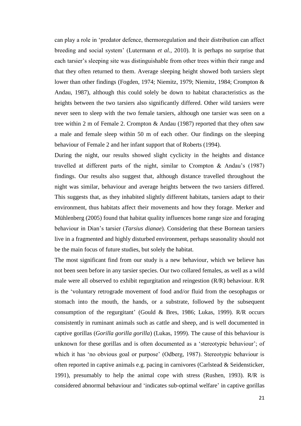can play a role in 'predator defence, thermoregulation and their distribution can affect breeding and social system' (Lutermann *et al.,* 2010). It is perhaps no surprise that each tarsier's sleeping site was distinguishable from other trees within their range and that they often returned to them. Average sleeping height showed both tarsiers slept lower than other findings (Fogden, 1974; Niemitz, 1979; Niemitz, 1984; Crompton & Andau, 1987), although this could solely be down to habitat characteristics as the heights between the two tarsiers also significantly differed. Other wild tarsiers were never seen to sleep with the two female tarsiers, although one tarsier was seen on a tree within 2 m of Female 2. Crompton & Andau (1987) reported that they often saw a male and female sleep within 50 m of each other. Our findings on the sleeping behaviour of Female 2 and her infant support that of Roberts (1994).

During the night, our results showed slight cyclicity in the heights and distance travelled at different parts of the night, similar to Crompton & Andau's (1987) findings. Our results also suggest that, although distance travelled throughout the night was similar, behaviour and average heights between the two tarsiers differed. This suggests that, as they inhabited slightly different habitats, tarsiers adapt to their environment, thus habitats affect their movements and how they forage. Merker and Mühlenberg (2005) found that habitat quality influences home range size and foraging behaviour in Dian's tarsier (*Tarsius dianae*). Considering that these Bornean tarsiers live in a fragmented and highly disturbed environment, perhaps seasonality should not be the main focus of future studies, but solely the habitat.

The most significant find from our study is a new behaviour, which we believe has not been seen before in any tarsier species. Our two collared females, as well as a wild male were all observed to exhibit regurgitation and reingestion (R/R) behaviour. R/R is the 'voluntary retrograde movement of food and/or fluid from the oesophagus or stomach into the mouth, the hands, or a substrate, followed by the subsequent consumption of the regurgitant' (Gould & Bres, 1986; Lukas, 1999). R/R occurs consistently in ruminant animals such as cattle and sheep, and is well documented in captive gorillas (*Gorilla gorilla gorilla*) (Lukas, 1999). The cause of this behaviour is unknown for these gorillas and is often documented as a 'stereotypic behaviour'; of which it has 'no obvious goal or purpose' (Odberg, 1987). Stereotypic behaviour is often reported in captive animals e.g. pacing in carnivores (Carlstead & Seidensticker, 1991), presumably to help the animal cope with stress (Rushen, 1993). R/R is considered abnormal behaviour and 'indicates sub-optimal welfare' in captive gorillas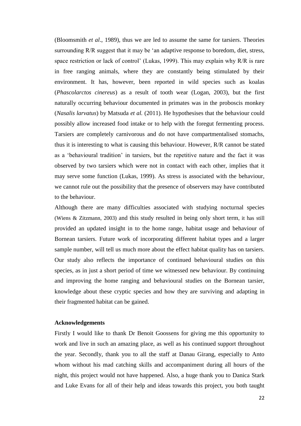(Bloomsmith *et al*., 1989), thus we are led to assume the same for tarsiers. Theories surrounding R/R suggest that it may be 'an adaptive response to boredom, diet, stress, space restriction or lack of control' (Lukas, 1999). This may explain why R/R is rare in free ranging animals, where they are constantly being stimulated by their environment. It has, however, been reported in wild species such as koalas (*Phascolarctos cinereus*) as a result of tooth wear (Logan, 2003), but the first naturally occurring behaviour documented in primates was in the proboscis monkey (*Nasalis larvatus*) by Matsuda *et al.* (2011). He hypothesises that the behaviour could possibly allow increased food intake or to help with the foregut fermenting process. Tarsiers are completely carnivorous and do not have compartmentalised stomachs, thus it is interesting to what is causing this behaviour. However, R/R cannot be stated as a 'behavioural tradition' in tarsiers, but the repetitive nature and the fact it was observed by two tarsiers which were not in contact with each other, implies that it may serve some function (Lukas, 1999). As stress is associated with the behaviour, we cannot rule out the possibility that the presence of observers may have contributed to the behaviour.

Although there are many difficulties associated with studying nocturnal species (Wiens & Zitzmann, 2003) and this study resulted in being only short term, it has still provided an updated insight in to the home range, habitat usage and behaviour of Bornean tarsiers. Future work of incorporating different habitat types and a larger sample number, will tell us much more about the effect habitat quality has on tarsiers. Our study also reflects the importance of continued behavioural studies on this species, as in just a short period of time we witnessed new behaviour. By continuing and improving the home ranging and behavioural studies on the Bornean tarsier, knowledge about these cryptic species and how they are surviving and adapting in their fragmented habitat can be gained.

#### **Acknowledgements**

Firstly I would like to thank Dr Benoit Goossens for giving me this opportunity to work and live in such an amazing place, as well as his continued support throughout the year. Secondly, thank you to all the staff at Danau Girang, especially to Anto whom without his mad catching skills and accompaniment during all hours of the night, this project would not have happened. Also, a huge thank you to Danica Stark and Luke Evans for all of their help and ideas towards this project, you both taught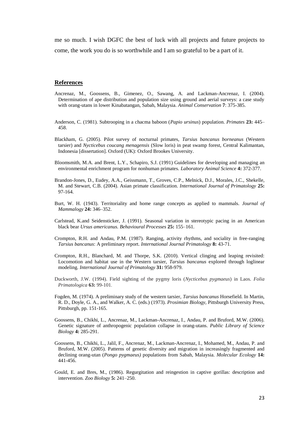me so much. I wish DGFC the best of luck with all projects and future projects to come, the work you do is so worthwhile and I am so grateful to be a part of it.

#### **References**

- Ancrenaz, M., Goossens, B., Gimenez, O., Sawang, A. and Lackman-Ancrenaz, I. (2004). Determination of ape distribution and population size using ground and aerial surveys: a case study with orang-utans in lower Kinabatangan, Sabah, Malaysia. *Animal Conservation* **7**: 375-385.
- Anderson, C. (1981). Subtrooping in a chacma baboon (*Papio ursinus*) population. *Primates* **23:** 445– 458.
- Blackham, G. (2005). Pilot survey of nocturnal primates, *Tarsius bancanus borneanus* (Western tarsier) and *Nycticebus coucang menagensis* (Slow loris) in peat swamp forest, Central Kalimantan, Indonesia [dissertation]. Oxford (UK): Oxford Brookes University.
- Bloomsmith, M.A. and Brent, L.Y., Schapiro, S.J. (1991) Guidelines for developing and managing an environmental enrichment program for nonhuman primates. *Laboratory Animal Science* **4:** 372-377.
- Brandon-Jones, D., Eudey, A.A., Geissmann, T., Groves, C.P., Melnick, D.J., Morales, J.C., Shekelle, M. and Stewart, C.B. (2004). Asian primate classification. *International Journal of Primatology* **25:** 97-164.
- Burt, W. H. (1943). Territoriality and home range concepts as applied to mammals. *Journal of Mammalogy* **24:** 346–352.
- Carlstead, K.and Seidensticker, J. (1991). Seasonal variation in stereotypic pacing in an American black bear *Ursus americanus. Behavioural Processes* **25:** 155–161.
- Crompton, R.H. and Andau, P.M. (1987). Ranging, activity rhythms, and sociality in free-ranging *Tarsius bancanus*: A preliminary report. *International Journal Primatology* **8:** 43-71.
- Crompton, R.H., Blanchard, M. and Thorpe, S.K. (2010). Vertical clinging and leaping revisited: Locomotion and habitat use in the Western tarsier, *Tarsius bancanus* explored through loglinear modeling. *International Journal of Primatology* **31:** 958-979.
- Duckworth, J.W. (1994). Field sighting of the pygmy loris (*Nycticebus pygmaeus*) in Laos. *Folia Primatologica* **63:** 99-101.
- Fogden, M. (1974). A preliminary study of the western tarsier, *Tarsius bancanus* Horsefield. In Martin, R. D., Doyle, G. A., and Walker, A. C. (eds.) (1973). *Prosimian Biology,* Pittsburgh University Press, Pittsburgh, pp. 151-165.
- Goossens, B., Chikhi, L., Ancrenaz, M., Lackman-Ancrenaz, I., Andau, P. and Bruford, M.W. (2006). Genetic signature of anthropogenic population collapse in orang-utans. *Public Library of Science Biology* **4:** 285-291.
- Goossens, B., Chikhi, L., Jalil, F., Ancrenaz, M., Lackman-Ancrenaz, I., Mohamed, M., Andau, P. and Bruford, M.W. (2005). Patterns of genetic diversity and migration in increasingly fragmented and declining orang-utan (*Pongo pygmaeus)* populations from Sabah, Malaysia. *Molecular Ecology* **14:**  441-456.
- Gould, E. and Bres, M., (1986). Regurgitation and reingestion in captive gorillas: description and intervention. *Zoo Biology* **5:** 241–250.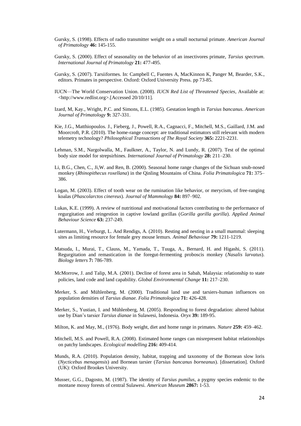- Gursky, S. (1998). Effects of radio transmitter weight on a small nocturnal primate. *American Journal of Primatology* **46:** 145-155.
- Gursky, S. (2000). Effect of seasonality on the behavior of an insectivores primate, *Tarsius spectrum*. *International Journal of Primatology* **21:** 477-495.
- Gursky, S. (2007). Tarsiiformes. In: Campbell C, Fuentes A, MacKinnon K, Panger M, Bearder, S.K., editors. Primates in perspective. Oxford: Oxford University Press. pp 73-85.
- IUCN—The World Conservation Union. (2008). *IUCN Red List of Threatened Species*, Available at: <http://www.redlist.org>.[Accessed 20/10/11].
- Izard, M, Kay., Wright, P.C. and Simons, E.L. (1985). Gestation length in *Tarsius bancanus*. *American Journal of Primatology* **9:** 327-331.
- Kie, J.G., Matthiopoulos. J., Fieberg, J., Powell, R.A., Cagnacci, F., Mitchell, M.S., Gaillard, J.M. and Moorcroft, P.R. (2010). The home-range concept: are traditional estimators still relevant with modern telemetry technology? *Philosophical Transactions of The Royal Society* **365:** 2221-2231.
- Lehman, S.M., Nargolwalla, M., Faulkner, A., Taylor, N. and Lundy, R. (2007). Test of the optimal body size model for strepsirhines. *International Journal of Primatology* **28:** 211–230.
- Li, B.G., Chen, C., Ji,W. and Ren, B. (2000). Seasonal home range changes of the Sichuan snub-nosed monkey (*Rhinopithecus roxellana*) in the Qinling Mountains of China. *Folia Primatologica* **71:** 375– 386.
- Logan, M. (2003). Effect of tooth wear on the rumination like behavior, or merycism, of free-ranging koalas (*Phascolarctos cinereus*). *Journal of Mammology* **84:** 897–902.
- Lukas, K.E. (1999). A review of nutritional and motivational factors contributing to the performance of regurgitation and reingestion in captive lowland gorillas (*Gorilla gorilla gorilla*). *Applied Animal Behaviour Science* **63:** 237-249.
- Lutermann, H., Verburgt, L. And Rendigs, A. (2010). Resting and nesting in a small mammal: sleeping sites as limiting resource for female grey mouse lemurs. *Animal Behaviour* **79:** 1211-1219.
- Matsuda, I., Murai, T., Clauss, M., Yamada, T., Tuuga, A., Bernard, H. and Higashi, S. (2011). Regurgitation and remastication in the foregut-fermenting proboscis monkey (*Nasalis larvatus*). *Biology letters* **7:** 786-789.
- McMorrow, J. and Talip, M.A. (2001). Decline of forest area in Sabah, Malaysia: relationship to state policies, land code and land capability. *Global Environmental Change* **11:** 217–230.
- Merker, S. and Mühlenberg, M. (2000). Traditional land use and tarsiers-human influences on population densities of *Tarsius dianae. Folia Primatologica* **71:** 426-428.
- Merker, S., Yustian, I. and Mühlenberg, M. (2005). Responding to forest degradation: altered habitat use by Dian's tarsier *Tarsius dianae* in Sulawesi, Indonesia. *Oryx* **39:** 189-95.
- Milton, K. and May, M., (1976). Body weight, diet and home range in primates. *Nature* **259:** 459–462.
- Mitchell, M.S. and Powell, R.A. (2008). Estimated home ranges can misrepresent habitat relationships on patchy landscapes. *Ecological modelling* **216:** 409-414.
- Munds, R.A. (2010). Population density, habitat, trapping and taxonomy of the Bornean slow loris (*Nycticebus menagensis*) and Bornean tarsier (*Tarsius bancanus borneanus*). [dissertation]. Oxford (UK): Oxford Brookes University.
- Musser, G.G., Dagosto, M. (1987). The identity of *Tarsius pumilus*, a pygmy species endemic to the montane mossy forests of central Sulawesi. *American Museum* **2867:** 1-53.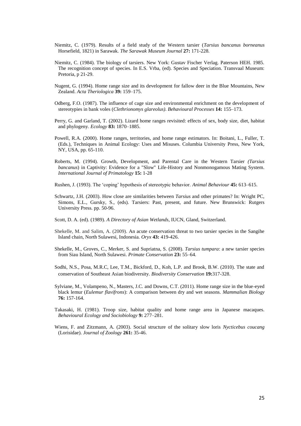- Niemitz, C. (1979). Results of a field study of the Western tarsier (*Tarsius bancanus borneanus* Horsefield, 1821) in Sarawak. *The Sarawak Museum Journal* **27:** 171-228.
- Niemitz, C. (1984). The biology of tarsiers. New York: Gustav Fischer Verlag. Paterson HEH. 1985. The recognition concept of species. In E.S. Vrba, (ed). Species and Speciation. Transvaal Museum: Pretoria, p 21-29.
- Nugent, G. (1994). Home range size and its development for fallow deer in the Blue Mountains, New Zealand. *Acta Theriologica* **39:** 159–175.
- Odberg, F.O. (1987). The influence of cage size and environmental enrichment on the development of stereotypies in bank voles (*Clethrionomys glareolus)*. *Behavioural Processes* **14:** 155–173.
- Perry, G. and Garland, T. (2002). Lizard home ranges revisited: effects of sex, body size, diet, habitat and phylogeny. *Ecology* **83:** 1870–1885.
- Powell, R.A. (2000). Home ranges, territories, and home range estimators. In: Boitani, L., Fuller, T. (Eds.), Techniques in Animal Ecology: Uses and Misuses. Columbia University Press, New York, NY, USA, pp. 65-110.
- Roberts, M. (1994). Growth, Development, and Parental Care in the Western Tarsier *(Tarsius bancanus*) in Captivity: Evidence for a "Slow" Life-History and Nonmonogamous Mating System. *International Journal of Primatology* **15:** 1-28
- Rushen, J. (1993). The 'coping' hypothesis of stereotypic behavior. *Animal Behaviour* **45:** 613–615.
- Schwartz, J.H. (2003). How close are similarities between *Tarsius* and other primates? In: Wright PC, Simons, E.L., Gursky, S., (eds). Tarsiers: Past, present, and future. New Brunswick: Rutgers University Press. pp. 50-96.
- Scott, D. A. (ed). (1989). *A Directory of Asian Wetlands,* IUCN, Gland, Switzerland.
- Shekelle, M. and Salim, A. (2009). An acute conservation threat to two tarsier species in the Sangihe Island chain, North Sulawesi, Indonesia. *Oryx* **43:** 419-426.
- Shekelle, M., Groves, C., Merker, S. and Supriatna, S. (2008). *Tarsius tumpara*: a new tarsier species from Siau Island, North Sulawesi. *Primate Conservation* **23:** 55–64.
- Sodhi, N.S., Posa, M.R.C, Lee, T.M., Bickford, D., Koh, L.P. and Brook, B.W. (2010). The state and conservation of Southeast Asian biodiversity. *Biodiversity Conservation* **19:**317-328.
- Sylviane, M., Volampeno, N., Masters, J.C. and Downs, C.T. (2011). Home range size in the blue-eyed black lemur (*Eulemur flavifrons*): A comparison between dry and wet seasons. *Mammalian Biology* **76:** 157-164.
- Takasaki, H. (1981). Troop size, habitat quality and home range area in Japanese macaques. *Behavioural Ecology and Sociobiology* **9:** 277–281.
- Wiens, F. and Zitzmann, A. (2003). Social structure of the solitary slow loris *Nycticebus coucang*  (Lorisidae). *Journal of Zoology* **261:** 35-46.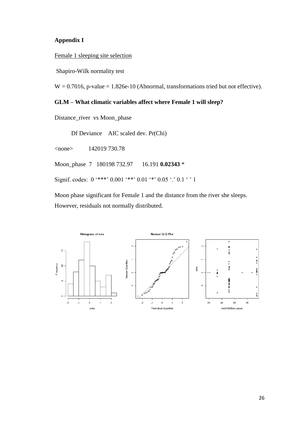# **Appendix I**

Female 1 sleeping site selection

Shapiro-Wilk normality test

 $W = 0.7016$ , p-value = 1.826e-10 (Abnormal, transformations tried but not effective).

## **GLM – What climatic variables affect where Female 1 will sleep?**

Distance\_river vs Moon\_phase

Df Deviance AIC scaled dev. Pr(Chi)

<none> 142019 730.78

Moon\_phase 7 180198 732.97 16.191 **0.02343** \*

Signif. codes:  $0$  '\*\*\*'  $0.001$  '\*\*'  $0.01$  '\*'  $0.05$  '.'  $0.1$  ' ' 1

Moon phase significant for Female 1 and the distance from the river she sleeps. However, residuals not normally distributed.

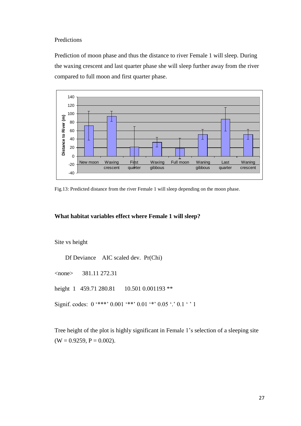## Predictions

Prediction of moon phase and thus the distance to river Female 1 will sleep. During the waxing crescent and last quarter phase she will sleep further away from the river compared to full moon and first quarter phase.



Fig.13: Predicted distance from the river Female 1 will sleep depending on the moon phase.

# **What habitat variables effect where Female 1 will sleep?**

### Site vs height

Df Deviance AIC scaled dev. Pr(Chi)

<none> 381.11 272.31

height 1 459.71 280.81 10.501 0.001193 \*\*

Signif. codes:  $0$  '\*\*\*'  $0.001$  '\*\*'  $0.01$  '\*'  $0.05$  '.'  $0.1$  ' ' 1

Tree height of the plot is highly significant in Female 1's selection of a sleeping site  $(W = 0.9259, P = 0.002)$ .